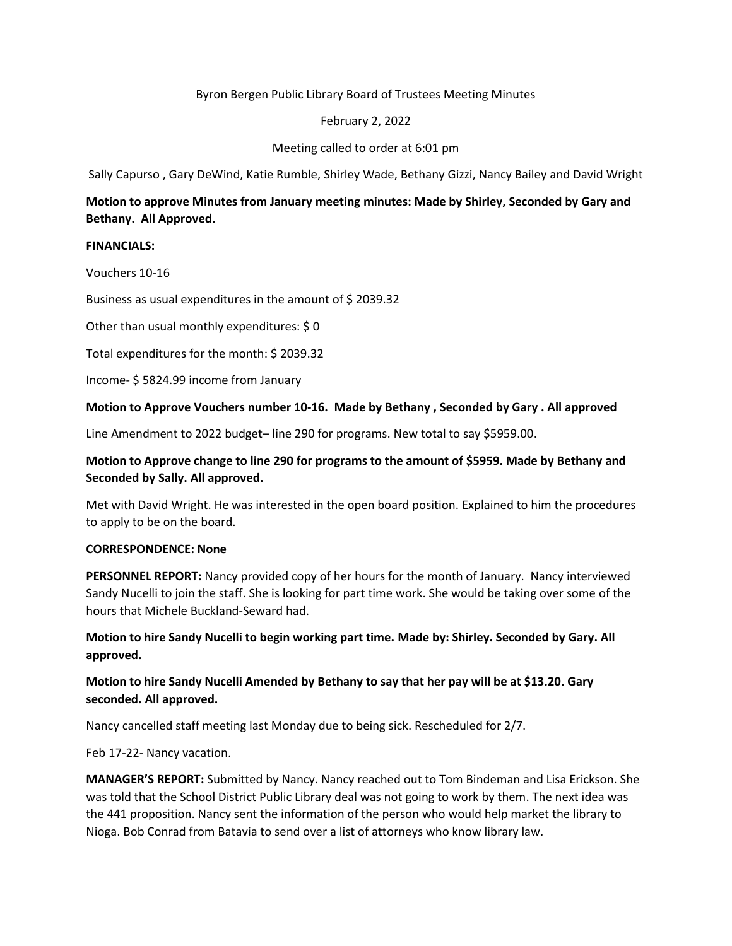## Byron Bergen Public Library Board of Trustees Meeting Minutes

## February 2, 2022

## Meeting called to order at 6:01 pm

Sally Capurso , Gary DeWind, Katie Rumble, Shirley Wade, Bethany Gizzi, Nancy Bailey and David Wright

# **Motion to approve Minutes from January meeting minutes: Made by Shirley, Seconded by Gary and Bethany. All Approved.**

### **FINANCIALS:**

Vouchers 10-16

Business as usual expenditures in the amount of \$ 2039.32

Other than usual monthly expenditures: \$ 0

Total expenditures for the month: \$ 2039.32

Income- \$ 5824.99 income from January

#### **Motion to Approve Vouchers number 10-16. Made by Bethany , Seconded by Gary . All approved**

Line Amendment to 2022 budget– line 290 for programs. New total to say \$5959.00.

# **Motion to Approve change to line 290 for programs to the amount of \$5959. Made by Bethany and Seconded by Sally. All approved.**

Met with David Wright. He was interested in the open board position. Explained to him the procedures to apply to be on the board.

### **CORRESPONDENCE: None**

**PERSONNEL REPORT:** Nancy provided copy of her hours for the month of January. Nancy interviewed Sandy Nucelli to join the staff. She is looking for part time work. She would be taking over some of the hours that Michele Buckland-Seward had.

**Motion to hire Sandy Nucelli to begin working part time. Made by: Shirley. Seconded by Gary. All approved.** 

# **Motion to hire Sandy Nucelli Amended by Bethany to say that her pay will be at \$13.20. Gary seconded. All approved.**

Nancy cancelled staff meeting last Monday due to being sick. Rescheduled for 2/7.

Feb 17-22- Nancy vacation.

**MANAGER'S REPORT:** Submitted by Nancy. Nancy reached out to Tom Bindeman and Lisa Erickson. She was told that the School District Public Library deal was not going to work by them. The next idea was the 441 proposition. Nancy sent the information of the person who would help market the library to Nioga. Bob Conrad from Batavia to send over a list of attorneys who know library law.